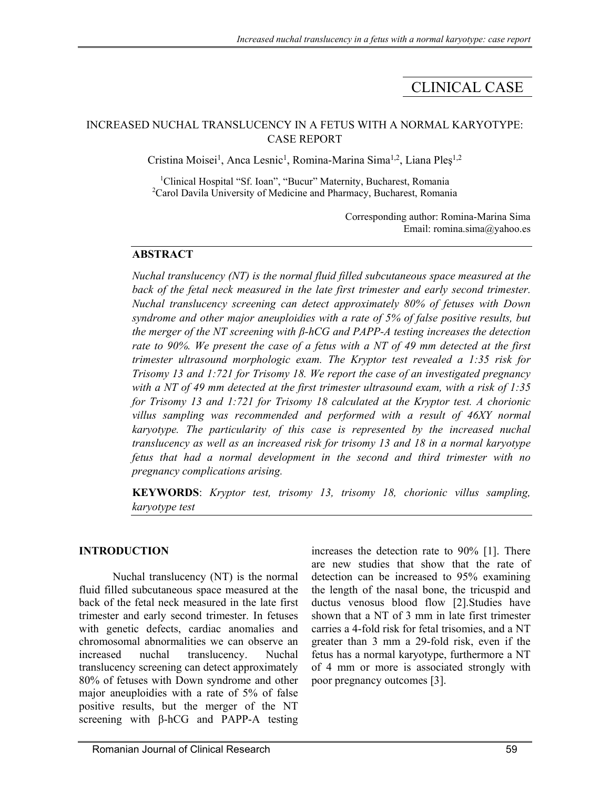# CLINICAL CASE

## INCREASED NUCHAL TRANSLUCENCY IN A FETUS WITH A NORMAL KARYOTYPE: CASE REPORT

Cristina Moisei<sup>1</sup>, Anca Lesnic<sup>1</sup>, Romina-Marina Sima<sup>1,2</sup>, Liana Pleș<sup>1,2</sup>

<sup>1</sup>Clinical Hospital "Sf. Ioan", "Bucur" Maternity, Bucharest, Romania <sup>2</sup>Carol Davila University of Medicine and Pharmacy, Bucharest, Romania

> Corresponding author: Romina-Marina Sima Email: romina.sima@yahoo.es

## **ABSTRACT**

*Nuchal translucency (NT) is the normal fluid filled subcutaneous space measured at the*  back of the fetal neck measured in the late first trimester and early second trimester. *Nuchal translucency screening can detect approximately 80% of fetuses with Down syndrome and other major aneuploidies with a rate of 5% of false positive results, but the merger of the NT screening with β-hCG and PAPP-A testing increases the detection rate to 90%. We present the case of a fetus with a NT of 49 mm detected at the first trimester ultrasound morphologic exam. The Kryptor test revealed a 1:35 risk for Trisomy 13 and 1:721 for Trisomy 18. We report the case of an investigated pregnancy with a NT of 49 mm detected at the first trimester ultrasound exam, with a risk of 1:35 for Trisomy 13 and 1:721 for Trisomy 18 calculated at the Kryptor test. A chorionic villus sampling was recommended and performed with a result of 46XY normal karyotype. The particularity of this case is represented by the increased nuchal translucency as well as an increased risk for trisomy 13 and 18 in a normal karyotype fetus that had a normal development in the second and third trimester with no pregnancy complications arising.* 

**KEYWORDS**: *Kryptor test, trisomy 13, trisomy 18, chorionic villus sampling, karyotype test*

## **INTRODUCTION**

 Nuchal translucency (NT) is the normal fluid filled subcutaneous space measured at the back of the fetal neck measured in the late first trimester and early second trimester. In fetuses with genetic defects, cardiac anomalies and chromosomal abnormalities we can observe an increased nuchal translucency. Nuchal translucency screening can detect approximately 80% of fetuses with Down syndrome and other major aneuploidies with a rate of 5% of false positive results, but the merger of the NT screening with β-hCG and PAPP-A testing

increases the detection rate to 90% [1]. There are new studies that show that the rate of detection can be increased to 95% examining the length of the nasal bone, the tricuspid and ductus venosus blood flow [2].Studies have shown that a NT of 3 mm in late first trimester carries a 4-fold risk for fetal trisomies, and a NT greater than 3 mm a 29-fold risk, even if the fetus has a normal karyotype, furthermore a NT of 4 mm or more is associated strongly with poor pregnancy outcomes [3].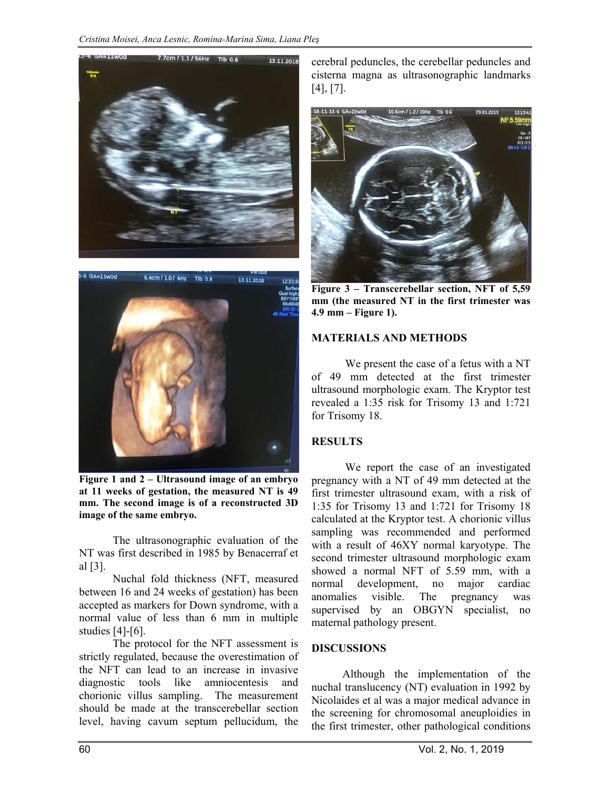



**Figure 1 and 2 – Ultrasound image of an embryo at 11 weeks of gestation, the measured NT is 49 mm. The second image is of a reconstructed 3D image of the same embryo.** 

 The ultrasonographic evaluation of the NT was first described in 1985 by Benacerraf et al [3].

 Nuchal fold thickness (NFT, measured between 16 and 24 weeks of gestation) has been accepted as markers for Down syndrome, with a normal value of less than 6 mm in multiple studies [4]-[6].

 The protocol for the NFT assessment is strictly regulated, because the overestimation of the NFT can lead to an increase in invasive diagnostic tools like amniocentesis and chorionic villus sampling. The measurement should be made at the transcerebellar section level, having cavum septum pellucidum, the

cerebral peduncles, the cerebellar peduncles and cisterna magna as ultrasonographic landmarks [4], [7].



**Figure 3 – Transcerebellar section, NFT of 5,59 mm (the measured NT in the first trimester was 4.9 mm – Figure 1).** 

#### **MATERIALS AND METHODS**

We present the case of a fetus with a NT of 49 mm detected at the first trimester ultrasound morphologic exam. The Kryptor test revealed a 1:35 risk for Trisomy 13 and 1:721 for Trisomy 18.

#### **RESULTS**

 We report the case of an investigated pregnancy with a NT of 49 mm detected at the first trimester ultrasound exam, with a risk of 1:35 for Trisomy 13 and 1:721 for Trisomy 18 calculated at the Kryptor test. A chorionic villus sampling was recommended and performed with a result of 46XY normal karyotype. The second trimester ultrasound morphologic exam showed a normal NFT of 5.59 mm, with a normal development, no major cardiac anomalies visible. The pregnancy was supervised by an OBGYN specialist, no maternal pathology present.

#### **DISCUSSIONS**

 Although the implementation of the nuchal translucency (NT) evaluation in 1992 by Nicolaides et al was a major medical advance in the screening for chromosomal aneuploidies in the first trimester, other pathological conditions